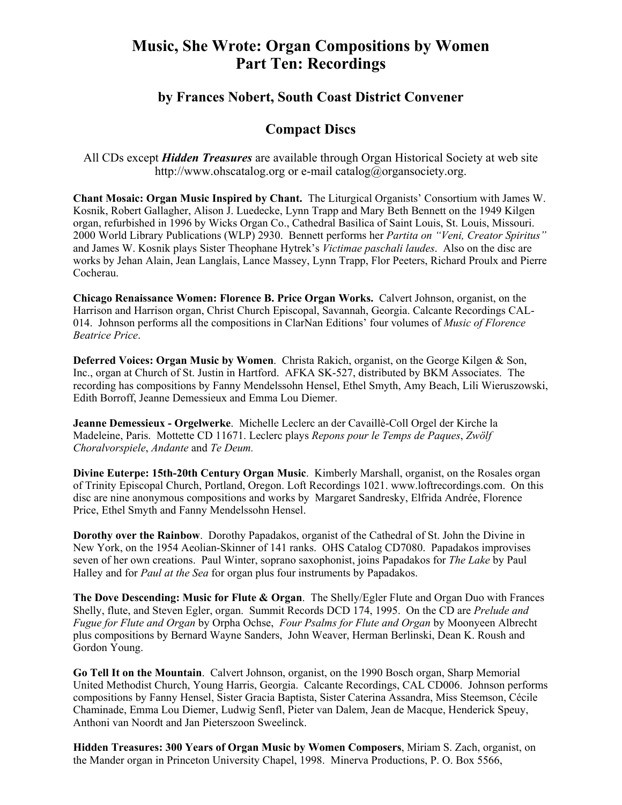## **Music, She Wrote: Organ Compositions by Women Part Ten: Recordings**

## **by Frances Nobert, South Coast District Convener**

## **Compact Discs**

All CDs except *Hidden Treasures* are available through Organ Historical Society at web site http://www.ohscatalog.org or e-mail catalog@organsociety.org.

**Chant Mosaic: Organ Music Inspired by Chant.** The Liturgical Organists' Consortium with James W. Kosnik, Robert Gallagher, Alison J. Luedecke, Lynn Trapp and Mary Beth Bennett on the 1949 Kilgen organ, refurbished in 1996 by Wicks Organ Co., Cathedral Basilica of Saint Louis, St. Louis, Missouri. 2000 World Library Publications (WLP) 2930. Bennett performs her *Partita on "Veni, Creator Spiritus"* and James W. Kosnik plays Sister Theophane Hytrek's *Victimae paschali laudes*. Also on the disc are works by Jehan Alain, Jean Langlais, Lance Massey, Lynn Trapp, Flor Peeters, Richard Proulx and Pierre Cocherau.

**Chicago Renaissance Women: Florence B. Price Organ Works.** Calvert Johnson, organist, on the Harrison and Harrison organ, Christ Church Episcopal, Savannah, Georgia. Calcante Recordings CAL-014. Johnson performs all the compositions in ClarNan Editions' four volumes of *Music of Florence Beatrice Price*.

**Deferred Voices: Organ Music by Women**. Christa Rakich, organist, on the George Kilgen & Son, Inc., organ at Church of St. Justin in Hartford. AFKA SK-527, distributed by BKM Associates. The recording has compositions by Fanny Mendelssohn Hensel, Ethel Smyth, Amy Beach, Lili Wieruszowski, Edith Borroff, Jeanne Demessieux and Emma Lou Diemer.

**Jeanne Demessieux - Orgelwerke**. Michelle Leclerc an der Cavaillè-Coll Orgel der Kirche la Madeleine, Paris. Mottette CD 11671. Leclerc plays *Repons pour le Temps de Paques*, *Zwölf Choralvorspiele*, *Andante* and *Te Deum.* 

**Divine Euterpe: 15th-20th Century Organ Music**. Kimberly Marshall, organist, on the Rosales organ of Trinity Episcopal Church, Portland, Oregon. Loft Recordings 1021. www.loftrecordings.com. On this disc are nine anonymous compositions and works by Margaret Sandresky, Elfrida Andrée, Florence Price, Ethel Smyth and Fanny Mendelssohn Hensel.

**Dorothy over the Rainbow**. Dorothy Papadakos, organist of the Cathedral of St. John the Divine in New York, on the 1954 Aeolian-Skinner of 141 ranks. OHS Catalog CD7080. Papadakos improvises seven of her own creations. Paul Winter, soprano saxophonist, joins Papadakos for *The Lake* by Paul Halley and for *Paul at the Sea* for organ plus four instruments by Papadakos.

**The Dove Descending: Music for Flute & Organ**. The Shelly/Egler Flute and Organ Duo with Frances Shelly, flute, and Steven Egler, organ. Summit Records DCD 174, 1995. On the CD are *Prelude and Fugue for Flute and Organ* by Orpha Ochse, *Four Psalms for Flute and Organ* by Moonyeen Albrecht plus compositions by Bernard Wayne Sanders, John Weaver, Herman Berlinski, Dean K. Roush and Gordon Young.

**Go Tell It on the Mountain**. Calvert Johnson, organist, on the 1990 Bosch organ, Sharp Memorial United Methodist Church, Young Harris, Georgia. Calcante Recordings, CAL CD006. Johnson performs compositions by Fanny Hensel, Sister Gracia Baptista, Sister Caterina Assandra, Miss Steemson, Cécile Chaminade, Emma Lou Diemer, Ludwig Senfl, Pieter van Dalem, Jean de Macque, Henderick Speuy, Anthoni van Noordt and Jan Pieterszoon Sweelinck.

**Hidden Treasures: 300 Years of Organ Music by Women Composers**, Miriam S. Zach, organist, on the Mander organ in Princeton University Chapel, 1998. Minerva Productions, P. O. Box 5566,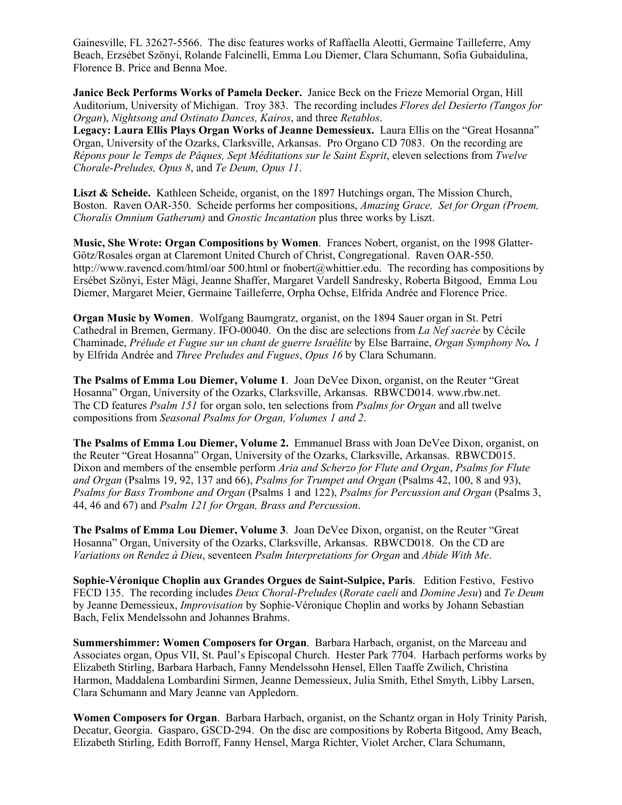Gainesville, FL 32627-5566. The disc features works of Raffaella Aleotti, Germaine Tailleferre, Amy Beach, Erzsébet Szönyi, Rolande Falcinelli, Emma Lou Diemer, Clara Schumann, Sofia Gubaidulina, Florence B. Price and Benna Moe.

**Janice Beck Performs Works of Pamela Decker.** Janice Beck on the Frieze Memorial Organ, Hill Auditorium, University of Michigan. Troy 383. The recording includes *Flores del Desierto (Tangos for Organ*), *Nightsong and Ostinato Dances, Kairos*, and three *Retablos*.

**Legacy: Laura Ellis Plays Organ Works of Jeanne Demessieux.** Laura Ellis on the "Great Hosanna" Organ, University of the Ozarks, Clarksville, Arkansas. Pro Organo CD 7083. On the recording are *Répons pour le Temps de Påques, Sept Méditations sur le Saint Esprit*, eleven selections from *Twelve Chorale-Preludes, Opus 8*, and *Te Deum, Opus 11*.

**Liszt & Scheide.** Kathleen Scheide, organist, on the 1897 Hutchings organ, The Mission Church, Boston. Raven OAR-350. Scheide performs her compositions, *Amazing Grace, Set for Organ (Proem, Choralis Omnium Gatherum)* and *Gnostic Incantation* plus three works by Liszt.

**Music, She Wrote: Organ Compositions by Women**. Frances Nobert, organist, on the 1998 Glatter-Götz/Rosales organ at Claremont United Church of Christ, Congregational. Raven OAR-550. http://www.ravencd.com/html/oar 500.html or fnobert@whittier.edu. The recording has compositions by Ersébet Szönyi, Ester Mägi, Jeanne Shaffer, Margaret Vardell Sandresky, Roberta Bitgood, Emma Lou Diemer, Margaret Meier, Germaine Tailleferre, Orpha Ochse, Elfrida Andrée and Florence Price.

**Organ Music by Women**. Wolfgang Baumgratz, organist, on the 1894 Sauer organ in St. Petri Cathedral in Bremen, Germany. IFO-00040. On the disc are selections from *La Nef sacrée* by Cécile Chaminade, *Prélude et Fugue sur un chant de guerre Israélite* by Else Barraine, *Organ Symphony No. 1* by Elfrida Andrée and *Three Preludes and Fugues*, *Opus 16* by Clara Schumann.

**The Psalms of Emma Lou Diemer, Volume 1**. Joan DeVee Dixon, organist, on the Reuter "Great Hosanna" Organ, University of the Ozarks, Clarksville, Arkansas. RBWCD014. www.rbw.net. The CD features *Psalm 151* for organ solo, ten selections from *Psalms for Organ* and all twelve compositions from *Seasonal Psalms for Organ, Volumes 1 and 2*.

**The Psalms of Emma Lou Diemer, Volume 2.** Emmanuel Brass with Joan DeVee Dixon, organist, on the Reuter "Great Hosanna" Organ, University of the Ozarks, Clarksville, Arkansas. RBWCD015. Dixon and members of the ensemble perform *Aria and Scherzo for Flute and Organ*, *Psalms for Flute and Organ* (Psalms 19, 92, 137 and 66), *Psalms for Trumpet and Organ* (Psalms 42, 100, 8 and 93), *Psalms for Bass Trombone and Organ* (Psalms 1 and 122), *Psalms for Percussion and Organ* (Psalms 3, 44, 46 and 67) and *Psalm 121 for Organ, Brass and Percussion*.

**The Psalms of Emma Lou Diemer, Volume 3**. Joan DeVee Dixon, organist, on the Reuter "Great Hosanna" Organ, University of the Ozarks, Clarksville, Arkansas. RBWCD018. On the CD are *Variations on Rendez à Dieu*, seventeen *Psalm Interpretations for Organ* and *Abide With Me*.

**Sophie-Véronique Choplin aux Grandes Orgues de Saint-Sulpice, Paris**. Edition Festivo, Festivo FECD 135. The recording includes *Deux Choral-Preludes* (*Rorate caeli* and *Domine Jesu*) and *Te Deum* by Jeanne Demessieux, *Improvisation* by Sophie-Véronique Choplin and works by Johann Sebastian Bach, Felix Mendelssohn and Johannes Brahms.

**Summershimmer: Women Composers for Organ**. Barbara Harbach, organist, on the Marceau and Associates organ, Opus VII, St. Paul's Episcopal Church. Hester Park 7704. Harbach performs works by Elizabeth Stirling, Barbara Harbach, Fanny Mendelssohn Hensel, Ellen Taaffe Zwilich, Christina Harmon, Maddalena Lombardini Sirmen, Jeanne Demessieux, Julia Smith, Ethel Smyth, Libby Larsen, Clara Schumann and Mary Jeanne van Appledorn.

**Women Composers for Organ**. Barbara Harbach, organist, on the Schantz organ in Holy Trinity Parish, Decatur, Georgia. Gasparo, GSCD-294. On the disc are compositions by Roberta Bitgood, Amy Beach, Elizabeth Stirling, Edith Borroff, Fanny Hensel, Marga Richter, Violet Archer, Clara Schumann,